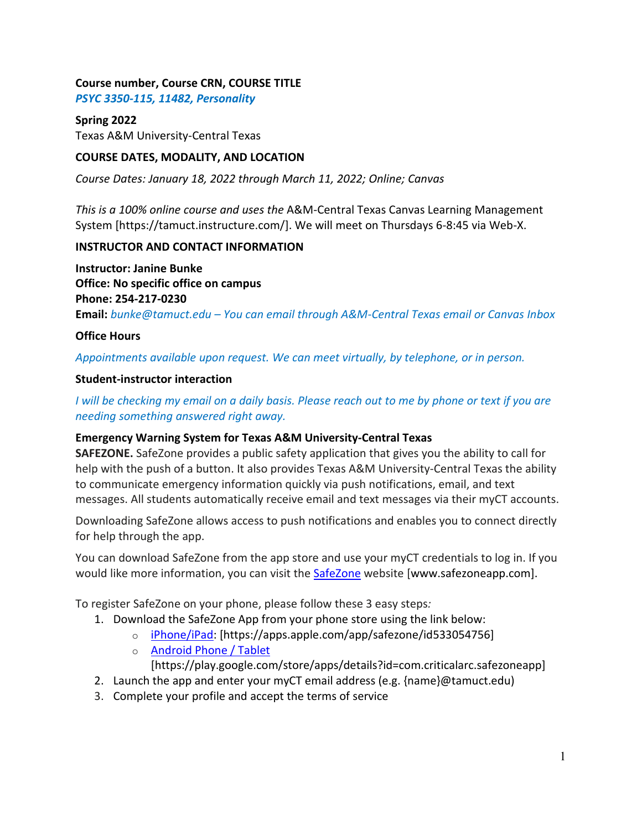# **Course number, Course CRN, COURSE TITLE**

*PSYC 3350-115, 11482, Personality*

## **Spring 2022**

Texas A&M University-Central Texas

# **COURSE DATES, MODALITY, AND LOCATION**

*Course Dates: January 18, 2022 through March 11, 2022; Online; Canvas*

*This is a 100% online course and uses the* A&M-Central Texas Canvas Learning Management System [https://tamuct.instructure.com/]. We will meet on Thursdays 6-8:45 via Web-X.

# **INSTRUCTOR AND CONTACT INFORMATION**

**Instructor: Janine Bunke Office: No specific office on campus Phone: 254-217-0230 Email:** *bunke@tamuct.edu – You can email through A&M-Central Texas email or Canvas Inbox*

# **Office Hours**

*Appointments available upon request. We can meet virtually, by telephone, or in person.*

### **Student-instructor interaction**

*I will be checking my email on a daily basis. Please reach out to me by phone or text if you are needing something answered right away.*

# **Emergency Warning System for Texas A&M University-Central Texas**

**SAFEZONE.** SafeZone provides a public safety application that gives you the ability to call for help with the push of a button. It also provides Texas A&M University-Central Texas the ability to communicate emergency information quickly via push notifications, email, and text messages. All students automatically receive email and text messages via their myCT accounts.

Downloading SafeZone allows access to push notifications and enables you to connect directly for help through the app.

You can download SafeZone from the app store and use your myCT credentials to log in. If you would like more information, you can visit the **[SafeZone](http://www.safezoneapp.com/)** website [www.safezoneapp.com].

To register SafeZone on your phone, please follow these 3 easy steps*:*

- 1. Download the SafeZone App from your phone store using the link below:
	- o [iPhone/iPad:](https://apps.apple.com/app/safezone/id533054756) [https://apps.apple.com/app/safezone/id533054756]
	- o [Android Phone / Tablet](https://play.google.com/store/apps/details?id=com.criticalarc.safezoneapp)

[https://play.google.com/store/apps/details?id=com.criticalarc.safezoneapp]

- 2. Launch the app and enter your myCT email address (e.g. {name}@tamuct.edu)
- 3. Complete your profile and accept the terms of service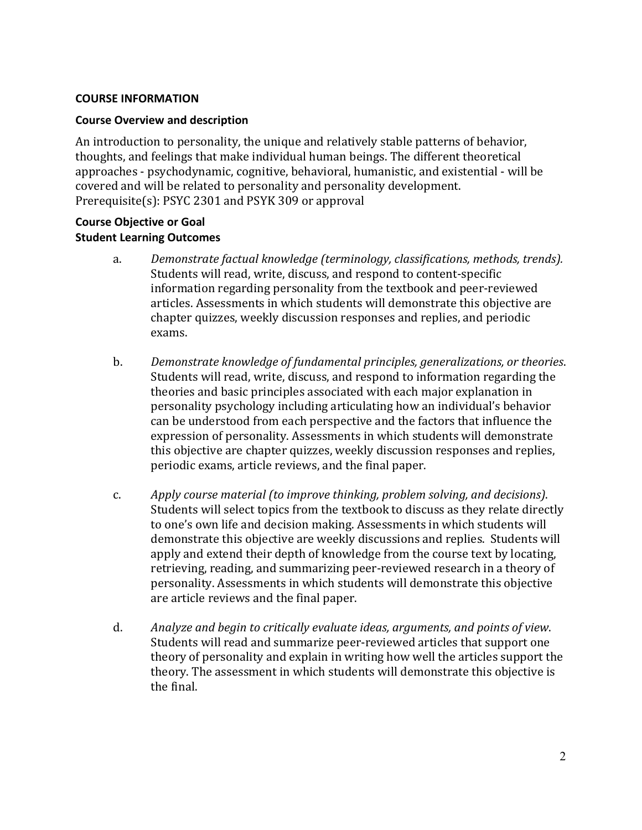#### **COURSE INFORMATION**

#### **Course Overview and description**

An introduction to personality, the unique and relatively stable patterns of behavior, thoughts, and feelings that make individual human beings. The different theoretical approaches - psychodynamic, cognitive, behavioral, humanistic, and existential - will be covered and will be related to personality and personality development. Prerequisite(s): PSYC [2301](http://catalog.tamuct.edu/search/?P=PSYC%202301) and [PSYK](http://catalog.tamuct.edu/search/?P=PSYK%20309) 309 or approval

### **Course Objective or Goal Student Learning Outcomes**

- a. *Demonstrate factual knowledge (terminology, classifications, methods, trends).* Students will read, write, discuss, and respond to content-specific information regarding personality from the textbook and peer-reviewed articles. Assessments in which students will demonstrate this objective are chapter quizzes, weekly discussion responses and replies, and periodic exams.
- b. *Demonstrate knowledge of fundamental principles, generalizations, or theories*. Students will read, write, discuss, and respond to information regarding the theories and basic principles associated with each major explanation in personality psychology including articulating how an individual's behavior can be understood from each perspective and the factors that influence the expression of personality. Assessments in which students will demonstrate this objective are chapter quizzes, weekly discussion responses and replies, periodic exams, article reviews, and the final paper.
- c. *Apply course material (to improve thinking, problem solving, and decisions)*. Students will select topics from the textbook to discuss as they relate directly to one's own life and decision making. Assessments in which students will demonstrate this objective are weekly discussions and replies. Students will apply and extend their depth of knowledge from the course text by locating, retrieving, reading, and summarizing peer-reviewed research in a theory of personality. Assessments in which students will demonstrate this objective are article reviews and the final paper.
- d. *Analyze and begin to critically evaluate ideas, arguments, and points of view*. Students will read and summarize peer-reviewed articles that support one theory of personality and explain in writing how well the articles support the theory. The assessment in which students will demonstrate this objective is the final.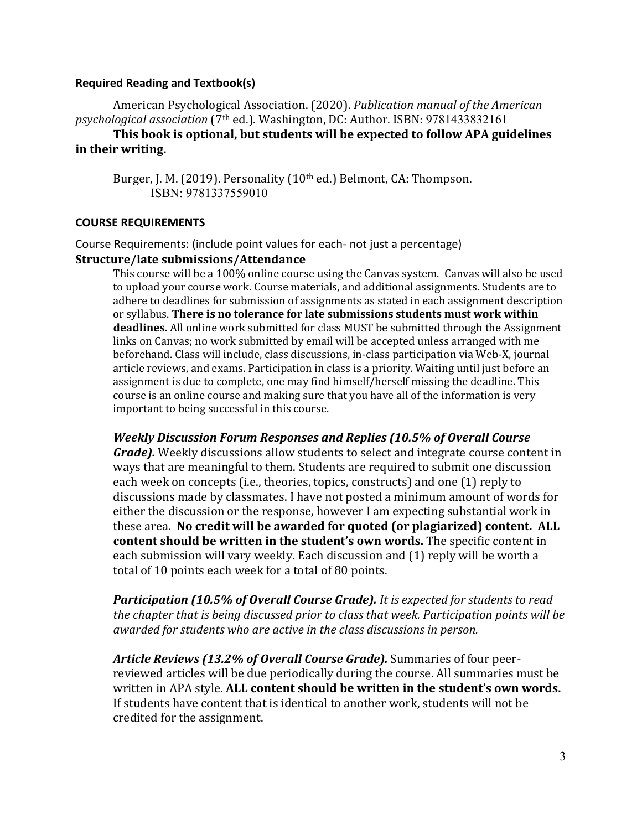#### **Required Reading and Textbook(s)**

American Psychological Association. (2020). *Publication manual of the American psychological association* (7th ed.). Washington, DC: Author. ISBN: 9781433832161

**This book is optional, but students will be expected to follow APA guidelines in their writing.**

Burger, J. M. (2019). Personality (10<sup>th</sup> ed.) Belmont, CA: Thompson. ISBN: 9781337559010

#### **COURSE REQUIREMENTS**

Course Requirements: (include point values for each- not just a percentage) **Structure/late submissions/Attendance**

This course will be a 100% online course using the Canvas system. Canvas will also be used to upload your course work. Course materials, and additional assignments. Students are to adhere to deadlines for submission of assignments as stated in each assignment description or syllabus. **There is no tolerance for late submissions students must work within deadlines.** All online work submitted for class MUST be submitted through the Assignment links on Canvas; no work submitted by email will be accepted unless arranged with me beforehand. Class will include, class discussions, in-class participation via Web-X, journal article reviews, and exams. Participation in class is a priority. Waiting until just before an assignment is due to complete, one may find himself/herself missing the deadline. This course is an online course and making sure that you have all of the information is very important to being successful in this course.

*Weekly Discussion Forum Responses and Replies (10.5% of Overall Course Grade).* Weekly discussions allow students to select and integrate course content in ways that are meaningful to them. Students are required to submit one discussion each week on concepts (i.e., theories, topics, constructs) and one (1) reply to discussions made by classmates. I have not posted a minimum amount of words for either the discussion or the response, however I am expecting substantial work in these area. **No credit will be awarded for quoted (or plagiarized) content. ALL** 

**content should be written in the student's own words.** The specific content in each submission will vary weekly. Each discussion and (1) reply will be worth a total of 10 points each week for a total of 80 points.

*Participation (10.5% of Overall Course Grade). It is expected for students to read the chapter that is being discussed prior to class that week. Participation points will be awarded for students who are active in the class discussions in person.* 

*Article Reviews (13.2% of Overall Course Grade).* Summaries of four peerreviewed articles will be due periodically during the course. All summaries must be written in APA style. **ALL content should be written in the student's own words.** If students have content that is identical to another work, students will not be credited for the assignment.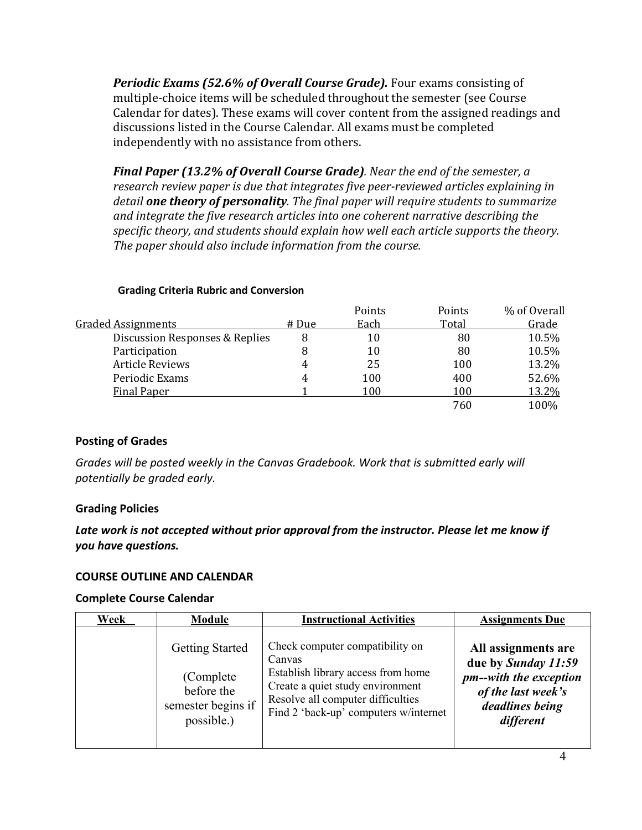*Periodic Exams (52.6% of Overall Course Grade).* Four exams consisting of multiple-choice items will be scheduled throughout the semester (see Course Calendar for dates). These exams will cover content from the assigned readings and discussions listed in the Course Calendar. All exams must be completed independently with no assistance from others.

*Final Paper (13.2% of Overall Course Grade). Near the end of the semester, a research review paper is due that integrates five peer-reviewed articles explaining in detail one theory of personality. The final paper will require students to summarize and integrate the five research articles into one coherent narrative describing the specific theory, and students should explain how well each article supports the theory. The paper should also include information from the course.*

|                                |       | Points | Points | % of Overall |
|--------------------------------|-------|--------|--------|--------------|
| <b>Graded Assignments</b>      | # Due | Each   | Total  | Grade        |
| Discussion Responses & Replies | 8     | 10     | 80     | 10.5%        |
| Participation                  | 8     | 10     | 80     | 10.5%        |
| <b>Article Reviews</b>         | 4     | 25     | 100    | 13.2%        |
| Periodic Exams                 | 4     | 100    | 400    | 52.6%        |
| <b>Final Paper</b>             |       | 100    | 100    | 13.2%        |
|                                |       |        | 760    | 100%         |
|                                |       |        |        |              |

#### **Grading Criteria Rubric and Conversion**

### **Posting of Grades**

*Grades will be posted weekly in the Canvas Gradebook. Work that is submitted early will potentially be graded early.*

### **Grading Policies**

# *Late work is not accepted without prior approval from the instructor. Please let me know if you have questions.*

### **COURSE OUTLINE AND CALENDAR**

#### **Complete Course Calendar**

| Week | Module                                                                                 | <b>Instructional Activities</b>                                                                                                                                                                   | <b>Assignments Due</b>                                                                                                     |
|------|----------------------------------------------------------------------------------------|---------------------------------------------------------------------------------------------------------------------------------------------------------------------------------------------------|----------------------------------------------------------------------------------------------------------------------------|
|      | <b>Getting Started</b><br>(Complete)<br>before the<br>semester begins if<br>possible.) | Check computer compatibility on<br>Canvas<br>Establish library access from home<br>Create a quiet study environment<br>Resolve all computer difficulties<br>Find 2 'back-up' computers w/internet | All assignments are<br>due by Sunday 11:59<br>pm--with the exception<br>of the last week's<br>deadlines being<br>different |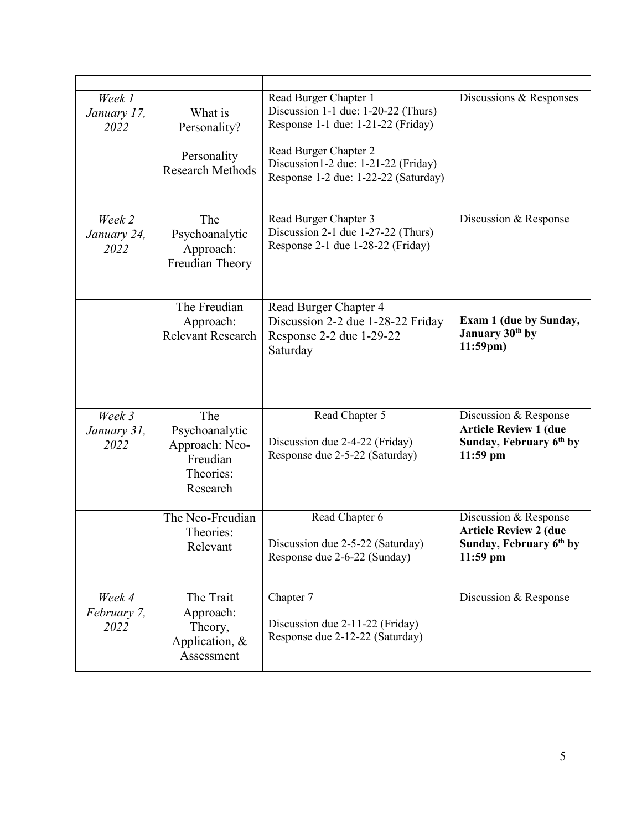| Week 1<br>January 17,<br>2022 | What is<br>Personality?<br>Personality<br><b>Research Methods</b>            | Read Burger Chapter 1<br>Discussion 1-1 due: 1-20-22 (Thurs)<br>Response 1-1 due: 1-21-22 (Friday)<br>Read Burger Chapter 2<br>Discussion1-2 due: 1-21-22 (Friday)<br>Response 1-2 due: 1-22-22 (Saturday) | Discussions & Responses                                                                                    |
|-------------------------------|------------------------------------------------------------------------------|------------------------------------------------------------------------------------------------------------------------------------------------------------------------------------------------------------|------------------------------------------------------------------------------------------------------------|
| Week 2                        | The                                                                          | Read Burger Chapter 3                                                                                                                                                                                      | Discussion & Response                                                                                      |
| January 24,<br>2022           | Psychoanalytic<br>Approach:<br>Freudian Theory                               | Discussion 2-1 due 1-27-22 (Thurs)<br>Response 2-1 due 1-28-22 (Friday)                                                                                                                                    |                                                                                                            |
|                               | The Freudian<br>Approach:<br><b>Relevant Research</b>                        | Read Burger Chapter 4<br>Discussion 2-2 due 1-28-22 Friday<br>Response 2-2 due 1-29-22<br>Saturday                                                                                                         | <b>Exam 1 (due by Sunday,</b><br>January 30th by<br>$11:59$ pm)                                            |
| Week 3<br>January 31,<br>2022 | The<br>Psychoanalytic<br>Approach: Neo-<br>Freudian<br>Theories:<br>Research | Read Chapter 5<br>Discussion due 2-4-22 (Friday)<br>Response due 2-5-22 (Saturday)                                                                                                                         | Discussion & Response<br><b>Article Review 1 (due</b><br>Sunday, February 6th by<br>$11:59$ pm             |
|                               | The Neo-Freudian<br>Theories:<br>Relevant                                    | Read Chapter 6<br>Discussion due 2-5-22 (Saturday)<br>Response due 2-6-22 (Sunday)                                                                                                                         | Discussion & Response<br><b>Article Review 2 (due</b><br>Sunday, February 6 <sup>th</sup> by<br>$11:59$ pm |
| Week 4<br>February 7,<br>2022 | The Trait<br>Approach:<br>Theory,<br>Application, &<br>Assessment            | Chapter 7<br>Discussion due 2-11-22 (Friday)<br>Response due 2-12-22 (Saturday)                                                                                                                            | Discussion & Response                                                                                      |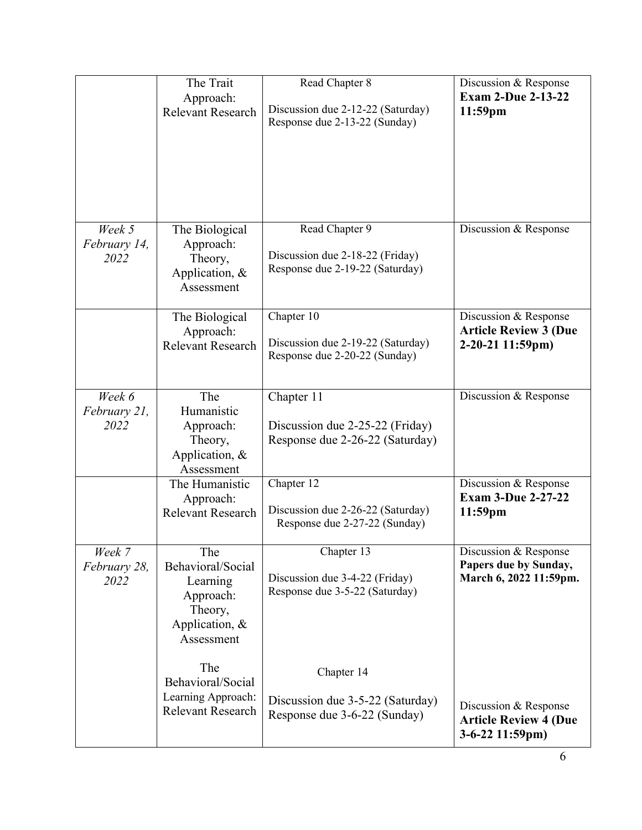|                                | The Trait<br>Approach:<br><b>Relevant Research</b>                                           | Read Chapter 8<br>Discussion due 2-12-22 (Saturday)<br>Response due 2-13-22 (Sunday) | Discussion & Response<br><b>Exam 2-Due 2-13-22</b><br>11:59pm             |
|--------------------------------|----------------------------------------------------------------------------------------------|--------------------------------------------------------------------------------------|---------------------------------------------------------------------------|
| Week 5<br>February 14,<br>2022 | The Biological<br>Approach:<br>Theory,<br>Application, &<br>Assessment                       | Read Chapter 9<br>Discussion due 2-18-22 (Friday)<br>Response due 2-19-22 (Saturday) | Discussion & Response                                                     |
|                                | The Biological<br>Approach:<br><b>Relevant Research</b>                                      | Chapter 10<br>Discussion due 2-19-22 (Saturday)<br>Response due 2-20-22 (Sunday)     | Discussion & Response<br><b>Article Review 3 (Due</b><br>2-20-21 11:59pm) |
| Week 6<br>February 21,<br>2022 | The<br>Humanistic<br>Approach:<br>Theory,<br>Application, &<br>Assessment                    | Chapter 11<br>Discussion due 2-25-22 (Friday)<br>Response due 2-26-22 (Saturday)     | Discussion & Response                                                     |
|                                | The Humanistic<br>Approach:<br>Relevant Research                                             | Chapter 12<br>Discussion due 2-26-22 (Saturday)<br>Response due 2-27-22 (Sunday)     | Discussion & Response<br><b>Exam 3-Due 2-27-22</b><br>$11:59$ pm          |
| Week 7<br>February 28,<br>2022 | The<br>Behavioral/Social<br>Learning<br>Approach:<br>Theory,<br>Application, &<br>Assessment | Chapter 13<br>Discussion due 3-4-22 (Friday)<br>Response due 3-5-22 (Saturday)       | Discussion & Response<br>Papers due by Sunday,<br>March 6, 2022 11:59pm.  |
|                                | The<br>Behavioral/Social<br>Learning Approach:<br><b>Relevant Research</b>                   | Chapter 14<br>Discussion due 3-5-22 (Saturday)<br>Response due 3-6-22 (Sunday)       | Discussion & Response<br><b>Article Review 4 (Due</b><br>3-6-22 11:59pm)  |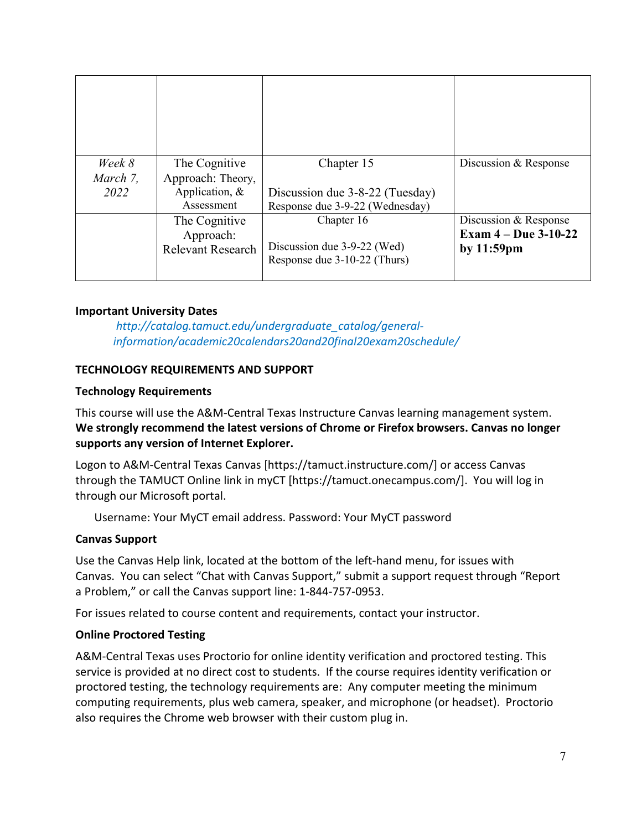| Week 8   | The Cognitive            | Chapter 15                                                  | Discussion & Response  |
|----------|--------------------------|-------------------------------------------------------------|------------------------|
| March 7, | Approach: Theory,        |                                                             |                        |
| 2022     | Application, &           | Discussion due 3-8-22 (Tuesday)                             |                        |
|          | Assessment               | Response due 3-9-22 (Wednesday)                             |                        |
|          | The Cognitive            | Chapter 16                                                  | Discussion & Response  |
|          | Approach:                |                                                             | Exam $4 - Due 3-10-22$ |
|          | <b>Relevant Research</b> | Discussion due 3-9-22 (Wed)<br>Response due 3-10-22 (Thurs) | by $11:59$ pm          |

### **Important University Dates**

*http://catalog.tamuct.edu/undergraduate\_catalog/generalinformation/academic20calendars20and20final20exam20schedule/*

### **TECHNOLOGY REQUIREMENTS AND SUPPORT**

### **Technology Requirements**

This course will use the A&M-Central Texas Instructure Canvas learning management system. **We strongly recommend the latest versions of Chrome or Firefox browsers. Canvas no longer supports any version of Internet Explorer.**

Logon to A&M-Central Texas Canvas [https://tamuct.instructure.com/] or access Canvas through the TAMUCT Online link in myCT [https://tamuct.onecampus.com/]. You will log in through our Microsoft portal.

Username: Your MyCT email address. Password: Your MyCT password

# **Canvas Support**

Use the Canvas Help link, located at the bottom of the left-hand menu, for issues with Canvas. You can select "Chat with Canvas Support," submit a support request through "Report a Problem," or call the Canvas support line: 1-844-757-0953.

For issues related to course content and requirements, contact your instructor.

### **Online Proctored Testing**

A&M-Central Texas uses Proctorio for online identity verification and proctored testing. This service is provided at no direct cost to students. If the course requires identity verification or proctored testing, the technology requirements are: Any computer meeting the minimum computing requirements, plus web camera, speaker, and microphone (or headset). Proctorio also requires the Chrome web browser with their custom plug in.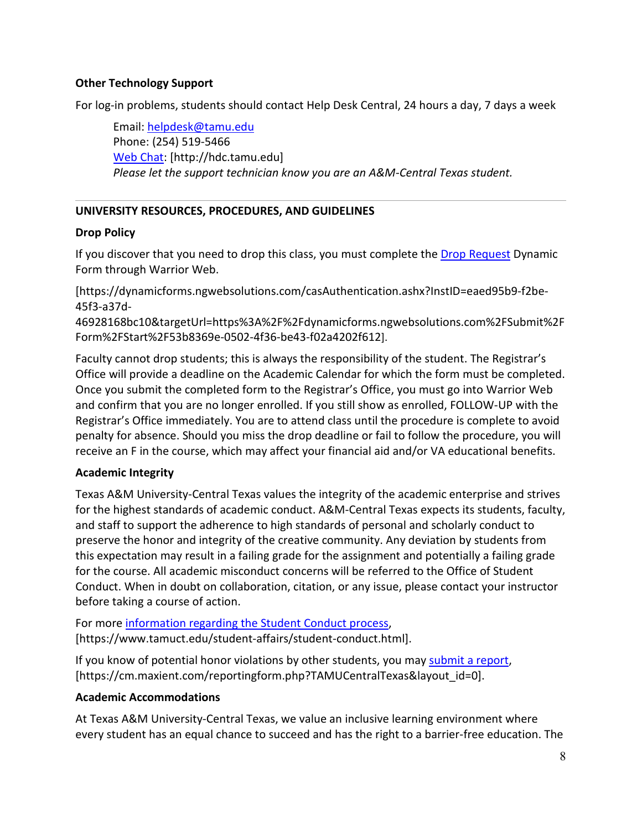## **Other Technology Support**

For log-in problems, students should contact Help Desk Central, 24 hours a day, 7 days a week

Email: [helpdesk@tamu.edu](mailto:helpdesk@tamu.edu) Phone: (254) 519-5466 [Web Chat:](http://hdc.tamu.edu/) [http://hdc.tamu.edu] *Please let the support technician know you are an A&M-Central Texas student.*

# **UNIVERSITY RESOURCES, PROCEDURES, AND GUIDELINES**

### **Drop Policy**

If you discover that you need to drop this class, you must complete the **Drop Request** Dynamic Form through Warrior Web.

[https://dynamicforms.ngwebsolutions.com/casAuthentication.ashx?InstID=eaed95b9-f2be-45f3-a37d-

46928168bc10&targetUrl=https%3A%2F%2Fdynamicforms.ngwebsolutions.com%2FSubmit%2F Form%2FStart%2F53b8369e-0502-4f36-be43-f02a4202f612].

Faculty cannot drop students; this is always the responsibility of the student. The Registrar's Office will provide a deadline on the Academic Calendar for which the form must be completed. Once you submit the completed form to the Registrar's Office, you must go into Warrior Web and confirm that you are no longer enrolled. If you still show as enrolled, FOLLOW-UP with the Registrar's Office immediately. You are to attend class until the procedure is complete to avoid penalty for absence. Should you miss the drop deadline or fail to follow the procedure, you will receive an F in the course, which may affect your financial aid and/or VA educational benefits.

# **Academic Integrity**

Texas A&M University-Central Texas values the integrity of the academic enterprise and strives for the highest standards of academic conduct. A&M-Central Texas expects its students, faculty, and staff to support the adherence to high standards of personal and scholarly conduct to preserve the honor and integrity of the creative community. Any deviation by students from this expectation may result in a failing grade for the assignment and potentially a failing grade for the course. All academic misconduct concerns will be referred to the Office of Student Conduct. When in doubt on collaboration, citation, or any issue, please contact your instructor before taking a course of action.

For more [information](https://nam04.safelinks.protection.outlook.com/?url=https%3A%2F%2Fwww.tamuct.edu%2Fstudent-affairs%2Fstudent-conduct.html&data=04%7C01%7Clisa.bunkowski%40tamuct.edu%7Ccfb6e486f24745f53e1a08d910055cb2%7C9eed4e3000f744849ff193ad8005acec%7C0%7C0%7C637558437485252160%7CUnknown%7CTWFpbGZsb3d8eyJWIjoiMC4wLjAwMDAiLCJQIjoiV2luMzIiLCJBTiI6Ik1haWwiLCJXVCI6Mn0%3D%7C1000&sdata=yjftDEVHvLX%2FhM%2FcFU0B99krV1RgEWR%2BJ%2BhvtoR6TYk%3D&reserved=0) regarding the Student Conduct process, [https://www.tamuct.edu/student-affairs/student-conduct.html].

If you know of potential honor violations by other students, you may [submit](https://nam04.safelinks.protection.outlook.com/?url=https%3A%2F%2Fcm.maxient.com%2Freportingform.php%3FTAMUCentralTexas%26layout_id%3D0&data=04%7C01%7Clisa.bunkowski%40tamuct.edu%7Ccfb6e486f24745f53e1a08d910055cb2%7C9eed4e3000f744849ff193ad8005acec%7C0%7C0%7C637558437485262157%7CUnknown%7CTWFpbGZsb3d8eyJWIjoiMC4wLjAwMDAiLCJQIjoiV2luMzIiLCJBTiI6Ik1haWwiLCJXVCI6Mn0%3D%7C1000&sdata=CXGkOa6uPDPX1IMZ87z3aZDq2n91xfHKu4MMS43Ejjk%3D&reserved=0) a report, [https://cm.maxient.com/reportingform.php?TAMUCentralTexas&layout\_id=0].

# **Academic Accommodations**

At Texas A&M University-Central Texas, we value an inclusive learning environment where every student has an equal chance to succeed and has the right to a barrier-free education. The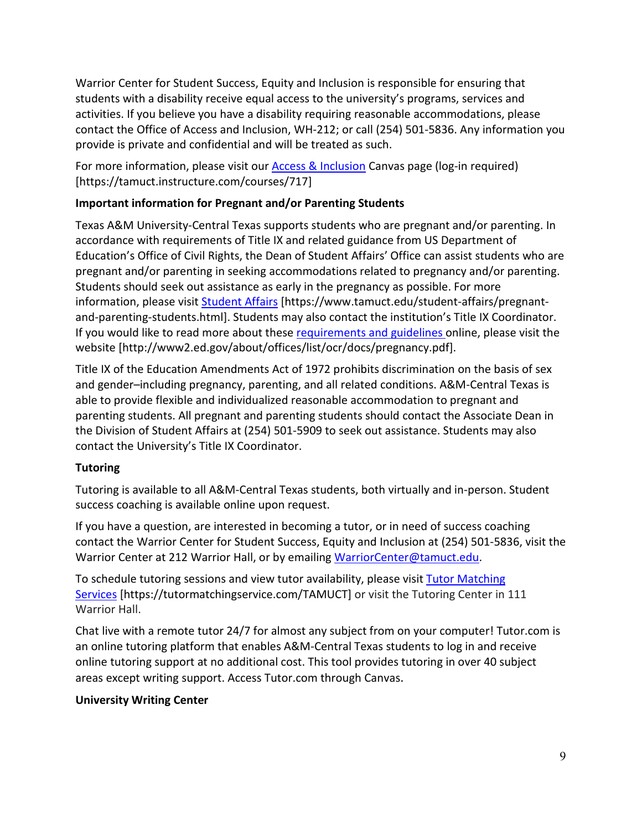Warrior Center for Student Success, Equity and Inclusion is responsible for ensuring that students with a disability receive equal access to the university's programs, services and activities. If you believe you have a disability requiring reasonable accommodations, please contact the Office of Access and Inclusion, WH-212; or call (254) 501-5836. Any information you provide is private and confidential and will be treated as such.

For more information, please visit our **Access & Inclusion** Canvas page (log-in required) [https://tamuct.instructure.com/courses/717]

# **Important information for Pregnant and/or Parenting Students**

Texas A&M University-Central Texas supports students who are pregnant and/or parenting. In accordance with requirements of Title IX and related guidance from US Department of Education's Office of Civil Rights, the Dean of Student Affairs' Office can assist students who are pregnant and/or parenting in seeking accommodations related to pregnancy and/or parenting. Students should seek out assistance as early in the pregnancy as possible. For more information, please visit [Student Affairs](https://www.tamuct.edu/student-affairs/pregnant-and-parenting-students.html) [https://www.tamuct.edu/student-affairs/pregnantand-parenting-students.html]. Students may also contact the institution's Title IX Coordinator. If you would like to read more about thes[e requirements and guidelines](http://www2.ed.gov/about/offices/list/ocr/docs/pregnancy.pdf) online, please visit the website [http://www2.ed.gov/about/offices/list/ocr/docs/pregnancy.pdf].

Title IX of the Education Amendments Act of 1972 prohibits discrimination on the basis of sex and gender–including pregnancy, parenting, and all related conditions. A&M-Central Texas is able to provide flexible and individualized reasonable accommodation to pregnant and parenting students. All pregnant and parenting students should contact the Associate Dean in the Division of Student Affairs at (254) 501-5909 to seek out assistance. Students may also contact the University's Title IX Coordinator.

# **Tutoring**

Tutoring is available to all A&M-Central Texas students, both virtually and in-person. Student success coaching is available online upon request.

If you have a question, are interested in becoming a tutor, or in need of success coaching contact the Warrior Center for Student Success, Equity and Inclusion at (254) 501-5836, visit the Warrior Center at 212 Warrior Hall, or by emailing [WarriorCenter@tamuct.edu.](mailto:WarriorCenter@tamuct.edu)

To schedule tutoring sessions and view tutor availability, please visit Tutor [Matching](https://nam04.safelinks.protection.outlook.com/?url=http%3A%2F%2Fwww.tutormatchingservices.com%2FTAMUCT&data=04%7C01%7Clisa.bunkowski%40tamuct.edu%7C886784139069461670c308d9aa01f55e%7C9eed4e3000f744849ff193ad8005acec%7C0%7C0%7C637727747643427346%7CUnknown%7CTWFpbGZsb3d8eyJWIjoiMC4wLjAwMDAiLCJQIjoiV2luMzIiLCJBTiI6Ik1haWwiLCJXVCI6Mn0%3D%7C3000&sdata=D%2F8HN2bUT1lLPfs5qSqKYlwh8a7pZVy7isM2gppluQE%3D&reserved=0) [Services](https://nam04.safelinks.protection.outlook.com/?url=http%3A%2F%2Fwww.tutormatchingservices.com%2FTAMUCT&data=04%7C01%7Clisa.bunkowski%40tamuct.edu%7C886784139069461670c308d9aa01f55e%7C9eed4e3000f744849ff193ad8005acec%7C0%7C0%7C637727747643427346%7CUnknown%7CTWFpbGZsb3d8eyJWIjoiMC4wLjAwMDAiLCJQIjoiV2luMzIiLCJBTiI6Ik1haWwiLCJXVCI6Mn0%3D%7C3000&sdata=D%2F8HN2bUT1lLPfs5qSqKYlwh8a7pZVy7isM2gppluQE%3D&reserved=0) [https://tutormatchingservice.com/TAMUCT] or visit the Tutoring Center in 111 Warrior Hall.

Chat live with a remote tutor 24/7 for almost any subject from on your computer! Tutor.com is an online tutoring platform that enables A&M-Central Texas students to log in and receive online tutoring support at no additional cost. This tool provides tutoring in over 40 subject areas except writing support. Access Tutor.com through Canvas.

# **University Writing Center**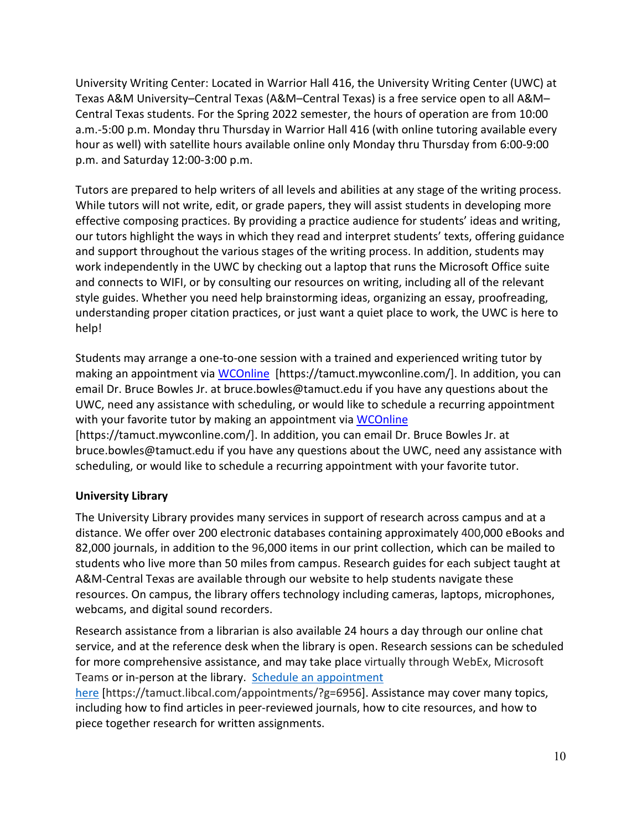University Writing Center: Located in Warrior Hall 416, the University Writing Center (UWC) at Texas A&M University–Central Texas (A&M–Central Texas) is a free service open to all A&M– Central Texas students. For the Spring 2022 semester, the hours of operation are from 10:00 a.m.-5:00 p.m. Monday thru Thursday in Warrior Hall 416 (with online tutoring available every hour as well) with satellite hours available online only Monday thru Thursday from 6:00-9:00 p.m. and Saturday 12:00-3:00 p.m.

Tutors are prepared to help writers of all levels and abilities at any stage of the writing process. While tutors will not write, edit, or grade papers, they will assist students in developing more effective composing practices. By providing a practice audience for students' ideas and writing, our tutors highlight the ways in which they read and interpret students' texts, offering guidance and support throughout the various stages of the writing process. In addition, students may work independently in the UWC by checking out a laptop that runs the Microsoft Office suite and connects to WIFI, or by consulting our resources on writing, including all of the relevant style guides. Whether you need help brainstorming ideas, organizing an essay, proofreading, understanding proper citation practices, or just want a quiet place to work, the UWC is here to help!

Students may arrange a one-to-one session with a trained and experienced writing tutor by making an appointment via [WCOnline](https://tamuct.mywconline.com/) [https://tamuct.mywconline.com/]. In addition, you can email Dr. Bruce Bowles Jr. at bruce.bowles@tamuct.edu if you have any questions about the UWC, need any assistance with scheduling, or would like to schedule a recurring appointment with your favorite tutor by making an appointment via [WCOnline](https://tamuct.mywconline.com/) [https://tamuct.mywconline.com/]. In addition, you can email Dr. Bruce Bowles Jr. at

bruce.bowles@tamuct.edu if you have any questions about the UWC, need any assistance with scheduling, or would like to schedule a recurring appointment with your favorite tutor.

# **University Library**

The University Library provides many services in support of research across campus and at a distance. We offer over 200 electronic databases containing approximately 400,000 eBooks and 82,000 journals, in addition to the 96,000 items in our print collection, which can be mailed to students who live more than 50 miles from campus. Research guides for each subject taught at A&M-Central Texas are available through our website to help students navigate these resources. On campus, the library offers technology including cameras, laptops, microphones, webcams, and digital sound recorders.

Research assistance from a librarian is also available 24 hours a day through our online chat service, and at the reference desk when the library is open. Research sessions can be scheduled for more comprehensive assistance, and may take place virtually through WebEx, Microsoft Teams or in-person at the library. Schedule an [appointment](https://nam04.safelinks.protection.outlook.com/?url=https%3A%2F%2Ftamuct.libcal.com%2Fappointments%2F%3Fg%3D6956&data=04%7C01%7Clisa.bunkowski%40tamuct.edu%7Cde2c07d9f5804f09518008d9ab7ba6ff%7C9eed4e3000f744849ff193ad8005acec%7C0%7C0%7C637729369835011558%7CUnknown%7CTWFpbGZsb3d8eyJWIjoiMC4wLjAwMDAiLCJQIjoiV2luMzIiLCJBTiI6Ik1haWwiLCJXVCI6Mn0%3D%7C3000&sdata=KhtjgRSAw9aq%2FoBsB6wyu8b7PSuGN5EGPypzr3Ty2No%3D&reserved=0)

[here](https://nam04.safelinks.protection.outlook.com/?url=https%3A%2F%2Ftamuct.libcal.com%2Fappointments%2F%3Fg%3D6956&data=04%7C01%7Clisa.bunkowski%40tamuct.edu%7Cde2c07d9f5804f09518008d9ab7ba6ff%7C9eed4e3000f744849ff193ad8005acec%7C0%7C0%7C637729369835011558%7CUnknown%7CTWFpbGZsb3d8eyJWIjoiMC4wLjAwMDAiLCJQIjoiV2luMzIiLCJBTiI6Ik1haWwiLCJXVCI6Mn0%3D%7C3000&sdata=KhtjgRSAw9aq%2FoBsB6wyu8b7PSuGN5EGPypzr3Ty2No%3D&reserved=0) [https://tamuct.libcal.com/appointments/?g=6956]. Assistance may cover many topics, including how to find articles in peer-reviewed journals, how to cite resources, and how to piece together research for written assignments.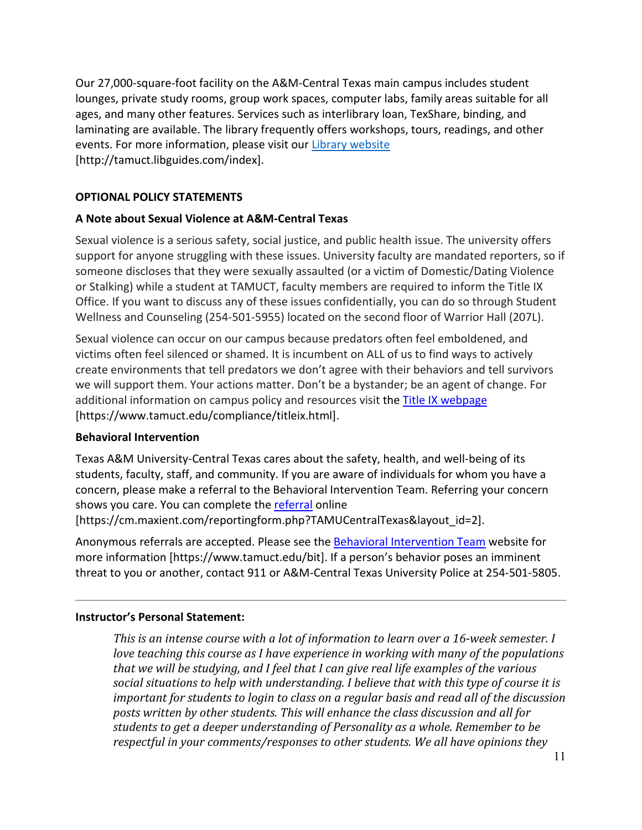Our 27,000-square-foot facility on the A&M-Central Texas main campus includes student lounges, private study rooms, group work spaces, computer labs, family areas suitable for all ages, and many other features. Services such as interlibrary loan, TexShare, binding, and laminating are available. The library frequently offers workshops, tours, readings, and other events. For more information, please visit our Library [website](https://nam04.safelinks.protection.outlook.com/?url=https%3A%2F%2Ftamuct.libguides.com%2Findex&data=04%7C01%7Clisa.bunkowski%40tamuct.edu%7C7d8489e8839a4915335f08d916f067f2%7C9eed4e3000f744849ff193ad8005acec%7C0%7C0%7C637566044056484222%7CUnknown%7CTWFpbGZsb3d8eyJWIjoiMC4wLjAwMDAiLCJQIjoiV2luMzIiLCJBTiI6Ik1haWwiLCJXVCI6Mn0%3D%7C1000&sdata=2R755V6rcIyedGrd4Os5rkgn1PvhHKU3kUV1vBKiHFo%3D&reserved=0) [http://tamuct.libguides.com/index].

## **OPTIONAL POLICY STATEMENTS**

### **A Note about Sexual Violence at A&M-Central Texas**

Sexual violence is a serious safety, social justice, and public health issue. The university offers support for anyone struggling with these issues. University faculty are mandated reporters, so if someone discloses that they were sexually assaulted (or a victim of Domestic/Dating Violence or Stalking) while a student at TAMUCT, faculty members are required to inform the Title IX Office. If you want to discuss any of these issues confidentially, you can do so through Student Wellness and Counseling (254-501-5955) located on the second floor of Warrior Hall (207L).

Sexual violence can occur on our campus because predators often feel emboldened, and victims often feel silenced or shamed. It is incumbent on ALL of us to find ways to actively create environments that tell predators we don't agree with their behaviors and tell survivors we will support them. Your actions matter. Don't be a bystander; be an agent of change. For additional information on campus policy and resources visit the [Title IX webpage](https://www.tamuct.edu/compliance/titleix.html) [\[https://www.tamuct.edu/compliance/titleix.html\]](https://www.tamuct.edu/compliance/titleix.html).

### **Behavioral Intervention**

Texas A&M University-Central Texas cares about the safety, health, and well-being of its students, faculty, staff, and community. If you are aware of individuals for whom you have a concern, please make a referral to the Behavioral Intervention Team. Referring your concern shows you care. You can complete the [referral](https://cm.maxient.com/reportingform.php?TAMUCentralTexas&layout_id=2) online [https://cm.maxient.com/reportingform.php?TAMUCentralTexas&layout\_id=2].

Anonymous referrals are accepted. Please see the [Behavioral Intervention Team](https://www.tamuct.edu/bit) website for more information [https://www.tamuct.edu/bit]. If a person's behavior poses an imminent threat to you or another, contact 911 or A&M-Central Texas University Police at 254-501-5805.

#### **Instructor's Personal Statement:**

*This is an intense course with a lot of information to learn over a 16-week semester. I love teaching this course as I have experience in working with many of the populations that we will be studying, and I feel that I can give real life examples of the various social situations to help with understanding. I believe that with this type of course it is important for students to login to class on a regular basis and read all of the discussion posts written by other students. This will enhance the class discussion and all for students to get a deeper understanding of Personality as a whole. Remember to be respectful in your comments/responses to other students. We all have opinions they*